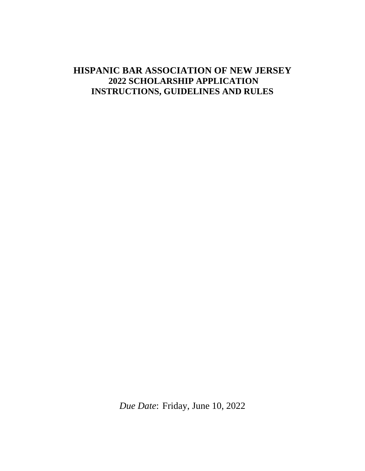# **HISPANIC BAR ASSOCIATION OF NEW JERSEY 2022 SCHOLARSHIP APPLICATION INSTRUCTIONS, GUIDELINES AND RULES**

*Due Date*: Friday, June 10, 2022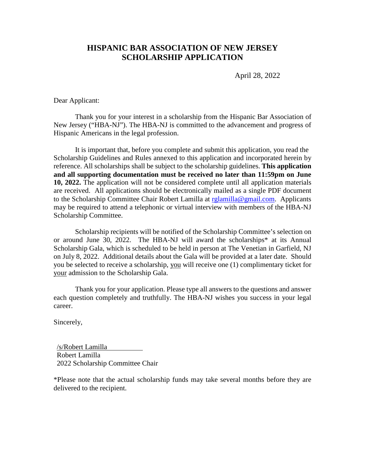## **HISPANIC BAR ASSOCIATION OF NEW JERSEY SCHOLARSHIP APPLICATION**

April 28, 2022

Dear Applicant:

Thank you for your interest in a scholarship from the Hispanic Bar Association of New Jersey ("HBA-NJ"). The HBA-NJ is committed to the advancement and progress of Hispanic Americans in the legal profession.

It is important that, before you complete and submit this application, you read the Scholarship Guidelines and Rules annexed to this application and incorporated herein by reference. All scholarships shall be subject to the scholarship guidelines. **This application and all supporting documentation must be received no later than 11:59pm on June 10, 2022.** The application will not be considered complete until all application materials are received. All applications should be electronically mailed as a single PDF document to the Scholarship Committee Chair Robert Lamilla at [rglamilla@gmail.com.](mailto:rglamilla@gmail.com) Applicants may be required to attend a telephonic or virtual interview with members of the HBA-NJ Scholarship Committee.

Scholarship recipients will be notified of the Scholarship Committee's selection on or around June 30, 2022. The HBA-NJ will award the scholarships\* at its Annual Scholarship Gala, which is scheduled to be held in person at The Venetian in Garfield, NJ on July 8, 2022. Additional details about the Gala will be provided at a later date. Should you be selected to receive a scholarship, you will receive one (1) complimentary ticket for your admission to the Scholarship Gala.

Thank you for your application. Please type all answers to the questions and answer each question completely and truthfully. The HBA-NJ wishes you success in your legal career.

Sincerely,

/s/Robert Lamilla Robert Lamilla 2022 Scholarship Committee Chair

\*Please note that the actual scholarship funds may take several months before they are delivered to the recipient.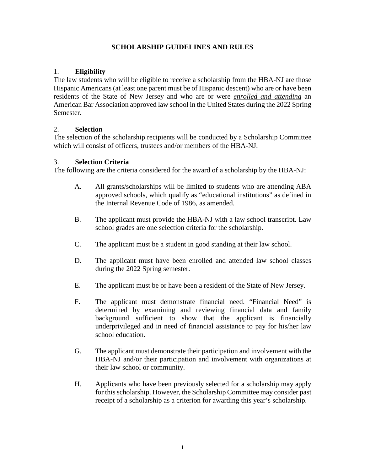#### **SCHOLARSHIP GUIDELINES AND RULES**

#### 1. **Eligibility**

The law students who will be eligible to receive a scholarship from the HBA-NJ are those Hispanic Americans (at least one parent must be of Hispanic descent) who are or have been residents of the State of New Jersey and who are or were *enrolled and attending* an American Bar Association approved law school in the United States during the 2022 Spring Semester.

#### 2. **Selection**

The selection of the scholarship recipients will be conducted by a Scholarship Committee which will consist of officers, trustees and/or members of the HBA-NJ.

#### 3. **Selection Criteria**

The following are the criteria considered for the award of a scholarship by the HBA-NJ:

- A. All grants/scholarships will be limited to students who are attending ABA approved schools, which qualify as "educational institutions" as defined in the Internal Revenue Code of 1986, as amended.
- B. The applicant must provide the HBA-NJ with a law school transcript. Law school grades are one selection criteria for the scholarship.
- C. The applicant must be a student in good standing at their law school.
- D. The applicant must have been enrolled and attended law school classes during the 2022 Spring semester.
- E. The applicant must be or have been a resident of the State of New Jersey.
- F. The applicant must demonstrate financial need. "Financial Need" is determined by examining and reviewing financial data and family background sufficient to show that the applicant is financially underprivileged and in need of financial assistance to pay for his/her law school education.
- G. The applicant must demonstrate their participation and involvement with the HBA-NJ and/or their participation and involvement with organizations at their law school or community.
- H. Applicants who have been previously selected for a scholarship may apply for this scholarship. However, the Scholarship Committee may consider past receipt of a scholarship as a criterion for awarding this year's scholarship.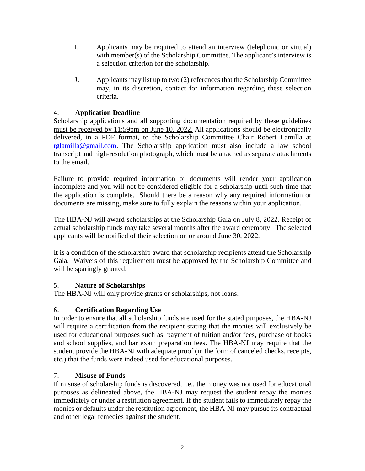- I. Applicants may be required to attend an interview (telephonic or virtual) with member(s) of the Scholarship Committee. The applicant's interview is a selection criterion for the scholarship.
- J. Applicants may list up to two (2) references that the Scholarship Committee may, in its discretion, contact for information regarding these selection criteria.

### 4. **Application Deadline**

Scholarship applications and all supporting documentation required by these guidelines must be received by 11:59pm on June 10, 2022. All applications should be electronically delivered, in a PDF format, to the Scholarship Committee Chair Robert Lamilla at [rglamilla@gmail.com.](mailto:rglamilla@gmail.com) The Scholarship application must also include a law school transcript and high-resolution photograph, which must be attached as separate attachments to the email.

Failure to provide required information or documents will render your application incomplete and you will not be considered eligible for a scholarship until such time that the application is complete. Should there be a reason why any required information or documents are missing, make sure to fully explain the reasons within your application.

The HBA-NJ will award scholarships at the Scholarship Gala on July 8, 2022. Receipt of actual scholarship funds may take several months after the award ceremony. The selected applicants will be notified of their selection on or around June 30, 2022.

It is a condition of the scholarship award that scholarship recipients attend the Scholarship Gala. Waivers of this requirement must be approved by the Scholarship Committee and will be sparingly granted.

#### 5. **Nature of Scholarships**

The HBA-NJ will only provide grants or scholarships, not loans.

## 6. **Certification Regarding Use**

In order to ensure that all scholarship funds are used for the stated purposes, the HBA-NJ will require a certification from the recipient stating that the monies will exclusively be used for educational purposes such as: payment of tuition and/or fees, purchase of books and school supplies, and bar exam preparation fees. The HBA-NJ may require that the student provide the HBA-NJ with adequate proof (in the form of canceled checks, receipts, etc.) that the funds were indeed used for educational purposes.

#### 7. **Misuse of Funds**

If misuse of scholarship funds is discovered, i.e., the money was not used for educational purposes as delineated above, the HBA-NJ may request the student repay the monies immediately or under a restitution agreement. If the student fails to immediately repay the monies or defaults under the restitution agreement, the HBA-NJ may pursue its contractual and other legal remedies against the student.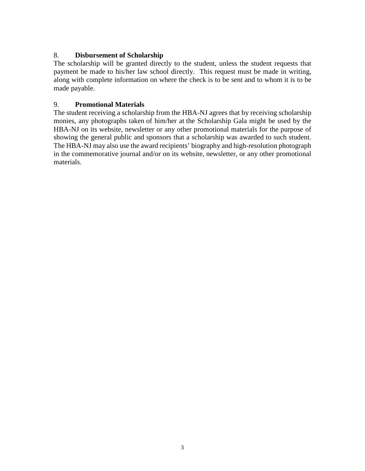#### 8. **Disbursement of Scholarship**

The scholarship will be granted directly to the student, unless the student requests that payment be made to his/her law school directly. This request must be made in writing, along with complete information on where the check is to be sent and to whom it is to be made payable.

#### 9. **Promotional Materials**

The student receiving a scholarship from the HBA-NJ agrees that by receiving scholarship monies, any photographs taken of him/her at the Scholarship Gala might be used by the HBA-NJ on its website, newsletter or any other promotional materials for the purpose of showing the general public and sponsors that a scholarship was awarded to such student. The HBA-NJ may also use the award recipients' biography and high-resolution photograph in the commemorative journal and/or on its website, newsletter, or any other promotional materials.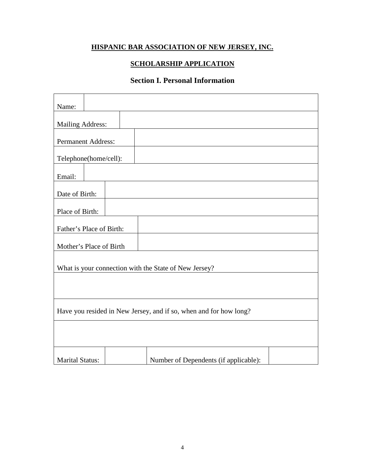## **HISPANIC BAR ASSOCIATION OF NEW JERSEY, INC.**

### **SCHOLARSHIP APPLICATION**

## **Section I. Personal Information**

| Name:                                                             |  |  |  |                                                       |  |  |
|-------------------------------------------------------------------|--|--|--|-------------------------------------------------------|--|--|
|                                                                   |  |  |  |                                                       |  |  |
| <b>Mailing Address:</b>                                           |  |  |  |                                                       |  |  |
| <b>Permanent Address:</b>                                         |  |  |  |                                                       |  |  |
| Telephone(home/cell):                                             |  |  |  |                                                       |  |  |
| Email:                                                            |  |  |  |                                                       |  |  |
| Date of Birth:                                                    |  |  |  |                                                       |  |  |
| Place of Birth:                                                   |  |  |  |                                                       |  |  |
| Father's Place of Birth:                                          |  |  |  |                                                       |  |  |
| Mother's Place of Birth                                           |  |  |  |                                                       |  |  |
|                                                                   |  |  |  | What is your connection with the State of New Jersey? |  |  |
|                                                                   |  |  |  |                                                       |  |  |
|                                                                   |  |  |  |                                                       |  |  |
| Have you resided in New Jersey, and if so, when and for how long? |  |  |  |                                                       |  |  |
|                                                                   |  |  |  |                                                       |  |  |
|                                                                   |  |  |  |                                                       |  |  |
| <b>Marital Status:</b>                                            |  |  |  | Number of Dependents (if applicable):                 |  |  |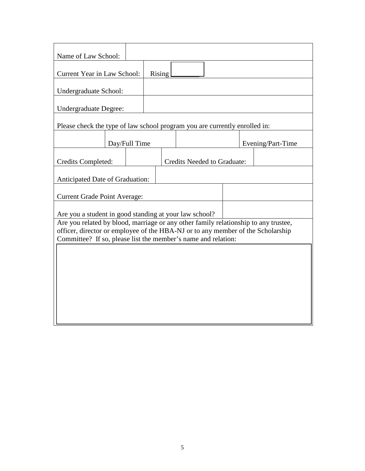| Name of Law School:                                                                                                                                                                                                                     |                                                        |        |                                    |  |  |  |  |                   |
|-----------------------------------------------------------------------------------------------------------------------------------------------------------------------------------------------------------------------------------------|--------------------------------------------------------|--------|------------------------------------|--|--|--|--|-------------------|
| <b>Current Year in Law School:</b>                                                                                                                                                                                                      |                                                        | Rising |                                    |  |  |  |  |                   |
| Undergraduate School:                                                                                                                                                                                                                   |                                                        |        |                                    |  |  |  |  |                   |
| <b>Undergraduate Degree:</b>                                                                                                                                                                                                            |                                                        |        |                                    |  |  |  |  |                   |
| Please check the type of law school program you are currently enrolled in:                                                                                                                                                              |                                                        |        |                                    |  |  |  |  |                   |
|                                                                                                                                                                                                                                         | Day/Full Time                                          |        |                                    |  |  |  |  | Evening/Part-Time |
| Credits Completed:                                                                                                                                                                                                                      |                                                        |        | <b>Credits Needed to Graduate:</b> |  |  |  |  |                   |
| Anticipated Date of Graduation:                                                                                                                                                                                                         |                                                        |        |                                    |  |  |  |  |                   |
|                                                                                                                                                                                                                                         | <b>Current Grade Point Average:</b>                    |        |                                    |  |  |  |  |                   |
|                                                                                                                                                                                                                                         | Are you a student in good standing at your law school? |        |                                    |  |  |  |  |                   |
| Are you related by blood, marriage or any other family relationship to any trustee,<br>officer, director or employee of the HBA-NJ or to any member of the Scholarship<br>Committee? If so, please list the member's name and relation: |                                                        |        |                                    |  |  |  |  |                   |
|                                                                                                                                                                                                                                         |                                                        |        |                                    |  |  |  |  |                   |
|                                                                                                                                                                                                                                         |                                                        |        |                                    |  |  |  |  |                   |
|                                                                                                                                                                                                                                         |                                                        |        |                                    |  |  |  |  |                   |
|                                                                                                                                                                                                                                         |                                                        |        |                                    |  |  |  |  |                   |
|                                                                                                                                                                                                                                         |                                                        |        |                                    |  |  |  |  |                   |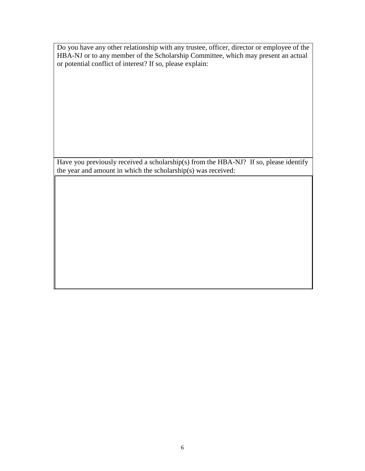Do you have any other relationship with any trustee, officer, director or employee of the HBA-NJ or to any member of the Scholarship Committee, which may present an actual or potential conflict of interest? If so, please explain:

Have you previously received a scholarship(s) from the HBA-NJ? If so, please identify the year and amount in which the scholarship(s) was received: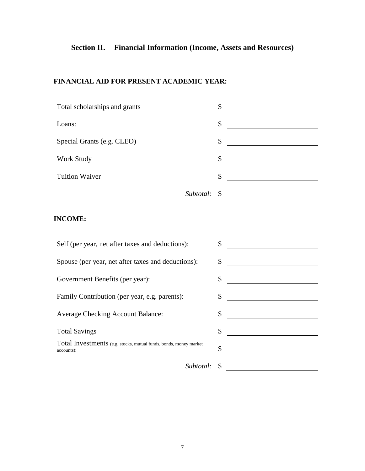# **Section II. Financial Information (Income, Assets and Resources)**

### **FINANCIAL AID FOR PRESENT ACADEMIC YEAR:**

| Total scholarships and grants | \$           |  |
|-------------------------------|--------------|--|
| Loans:                        | \$           |  |
| Special Grants (e.g. CLEO)    | \$           |  |
| Work Study                    | \$           |  |
| <b>Tuition Waiver</b>         | \$           |  |
|                               | Subtotal: \$ |  |

## **INCOME:**

| Self (per year, net after taxes and deductions):                                | \$ |
|---------------------------------------------------------------------------------|----|
| Spouse (per year, net after taxes and deductions):                              | \$ |
| Government Benefits (per year):                                                 | \$ |
| Family Contribution (per year, e.g. parents):                                   | \$ |
| <b>Average Checking Account Balance:</b>                                        | \$ |
| <b>Total Savings</b>                                                            | \$ |
| Total Investments (e.g. stocks, mutual funds, bonds, money market<br>accounts): | \$ |
| Subtotal:                                                                       |    |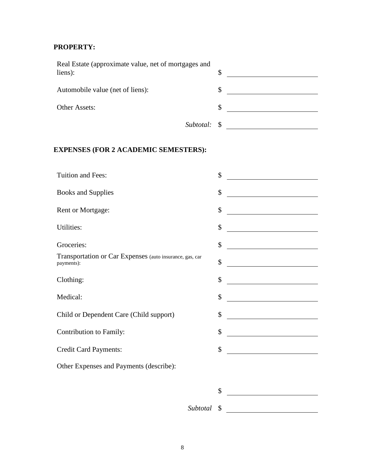## **PROPERTY:**

| Real Estate (approximate value, net of mortgages and<br>liens): | \$ |  |
|-----------------------------------------------------------------|----|--|
| Automobile value (net of liens):                                | \$ |  |
| Other Assets:                                                   | S  |  |
| Subtotal: \$                                                    |    |  |

## **EXPENSES (FOR 2 ACADEMIC SEMESTERS):**

| Tuition and Fees:                                                      | \$                                                    |
|------------------------------------------------------------------------|-------------------------------------------------------|
| <b>Books and Supplies</b>                                              | \$<br><u> 1980 - Johann Barbara, martin a</u>         |
| Rent or Mortgage:                                                      | \$                                                    |
| Utilities:                                                             | \$                                                    |
| Groceries:                                                             | \$                                                    |
| Transportation or Car Expenses (auto insurance, gas, car<br>payments): | \$                                                    |
| Clothing:                                                              | \$<br><u> 1989 - Johann Barbara, martxa al</u>        |
| Medical:                                                               | \$                                                    |
| Child or Dependent Care (Child support)                                | \$                                                    |
| Contribution to Family:                                                | \$<br><u> 1989 - John Stein, mars and de Brande</u>   |
| Credit Card Payments:                                                  | \$<br><u> 1989 - Andrea Station Barbara (h. 1989)</u> |
| Other Expenses and Payments (describe):                                |                                                       |
|                                                                        | \$                                                    |
|                                                                        |                                                       |
| Subtotal                                                               | \$                                                    |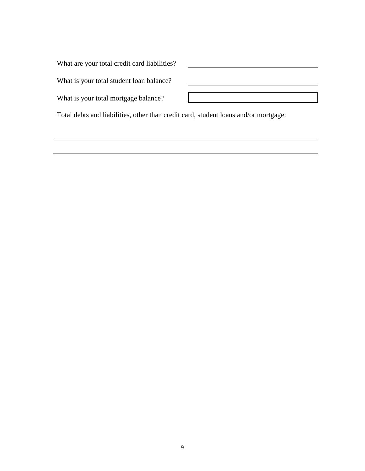What are your total credit card liabilities?

What is your total student loan balance?

What is your total mortgage balance?

Total debts and liabilities, other than credit card, student loans and/or mortgage: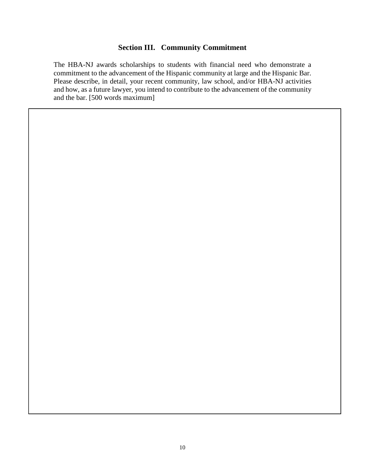#### **Section III. Community Commitment**

The HBA-NJ awards scholarships to students with financial need who demonstrate a commitment to the advancement of the Hispanic community at large and the Hispanic Bar. Please describe, in detail, your recent community, law school, and/or HBA-NJ activities and how, as a future lawyer, you intend to contribute to the advancement of the community and the bar. [500 words maximum]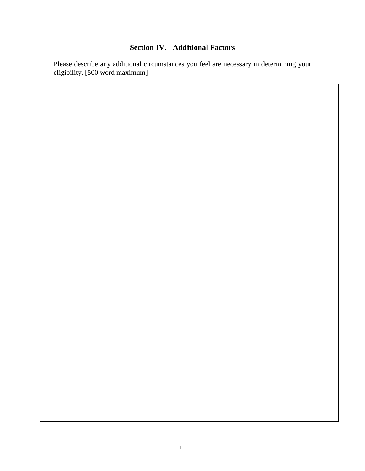## **Section IV. Additional Factors**

Please describe any additional circumstances you feel are necessary in determining your eligibility. [500 word maximum]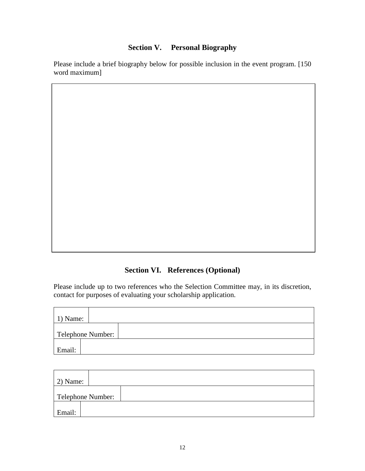## **Section V. Personal Biography**

Please include a brief biography below for possible inclusion in the event program. [150 word maximum]

# **Section VI. References (Optional)**

Please include up to two references who the Selection Committee may, in its discretion, contact for purposes of evaluating your scholarship application.

| $\vert$ 1) Name: |                   |
|------------------|-------------------|
|                  | Telephone Number: |
| Email:           |                   |

| $2)$ Name: |                   |  |  |
|------------|-------------------|--|--|
|            | Telephone Number: |  |  |
| Email:     |                   |  |  |